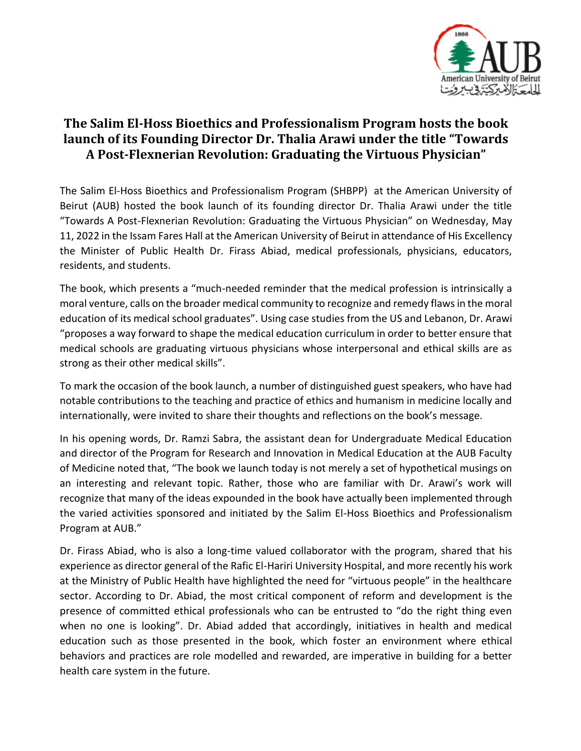

## **The Salim El-Hoss Bioethics and Professionalism Program hosts the book launch of its Founding Director Dr. Thalia Arawi under the title "Towards A Post-Flexnerian Revolution: Graduating the Virtuous Physician"**

The Salim El-Hoss Bioethics and Professionalism Program (SHBPP) at the American University of Beirut (AUB) hosted the book launch of its founding director Dr. Thalia Arawi under the title "Towards A Post-Flexnerian Revolution: Graduating the Virtuous Physician" on Wednesday, May 11, 2022 in the Issam Fares Hall at the American University of Beirut in attendance of His Excellency the Minister of Public Health Dr. Firass Abiad, medical professionals, physicians, educators, residents, and students.

The book, which presents a "much-needed reminder that the medical profession is intrinsically a moral venture, calls on the broader medical community to recognize and remedy flaws in the moral education of its medical school graduates". Using case studies from the US and Lebanon, Dr. Arawi "proposes a way forward to shape the medical education curriculum in order to better ensure that medical schools are graduating virtuous physicians whose interpersonal and ethical skills are as strong as their other medical skills".

To mark the occasion of the book launch, a number of distinguished guest speakers, who have had notable contributions to the teaching and practice of ethics and humanism in medicine locally and internationally, were invited to share their thoughts and reflections on the book's message.

In his opening words, Dr. Ramzi Sabra, the assistant dean for Undergraduate Medical Education and director of the Program for Research and Innovation in Medical Education at the AUB Faculty of Medicine noted that, "The book we launch today is not merely a set of hypothetical musings on an interesting and relevant topic. Rather, those who are familiar with Dr. Arawi's work will recognize that many of the ideas expounded in the book have actually been implemented through the varied activities sponsored and initiated by the Salim El-Hoss Bioethics and Professionalism Program at AUB."

Dr. Firass Abiad, who is also a long-time valued collaborator with the program, shared that his experience as director general of the Rafic El-Hariri University Hospital, and more recently his work at the Ministry of Public Health have highlighted the need for "virtuous people" in the healthcare sector. According to Dr. Abiad, the most critical component of reform and development is the presence of committed ethical professionals who can be entrusted to "do the right thing even when no one is looking". Dr. Abiad added that accordingly, initiatives in health and medical education such as those presented in the book, which foster an environment where ethical behaviors and practices are role modelled and rewarded, are imperative in building for a better health care system in the future.